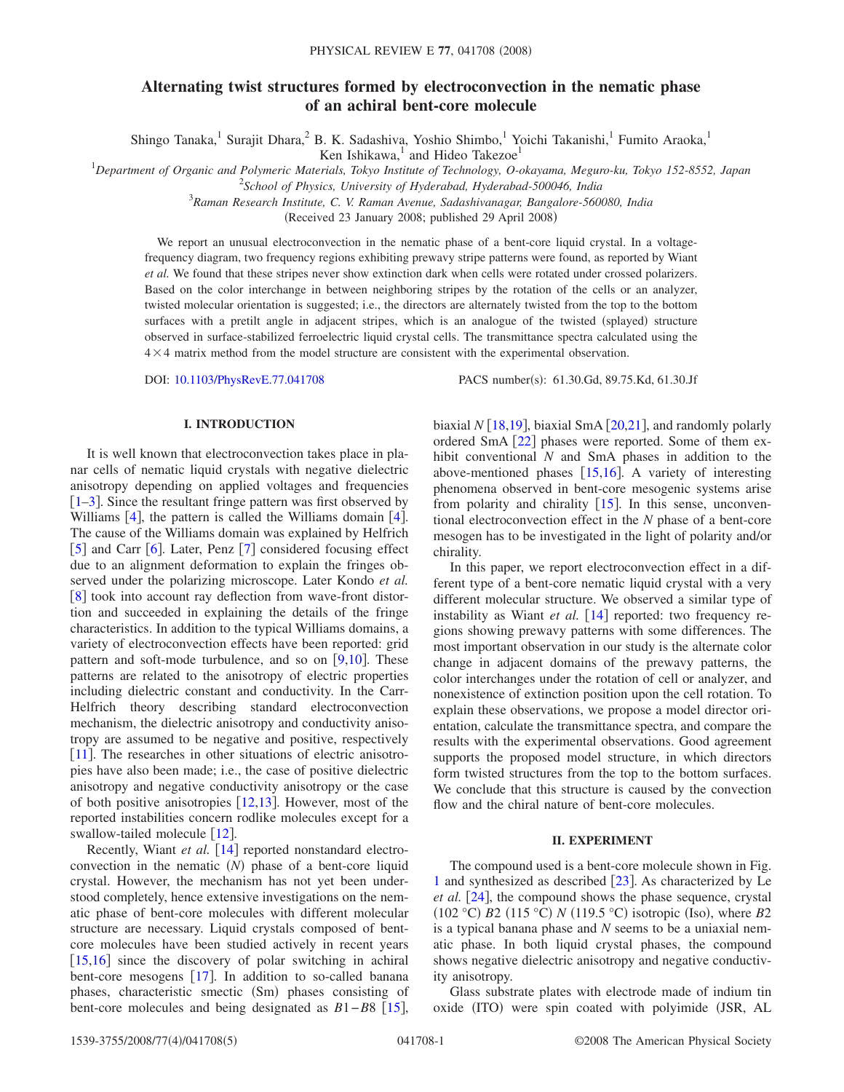# **Alternating twist structures formed by electroconvection in the nematic phase of an achiral bent-core molecule**

Shingo Tanaka,<sup>1</sup> Surajit Dhara,<sup>2</sup> B. K. Sadashiva, Yoshio Shimbo,<sup>1</sup> Yoichi Takanishi,<sup>1</sup> Fumito Araoka,<sup>1</sup>

Ken Ishikawa, $<sup>1</sup>$  and Hideo Takezoe<sup>1</sup></sup>

1 *Department of Organic and Polymeric Materials, Tokyo Institute of Technology, O-okayama, Meguro-ku, Tokyo 152-8552, Japan*

2 *School of Physics, University of Hyderabad, Hyderabad-500046, India*

3 *Raman Research Institute, C. V. Raman Avenue, Sadashivanagar, Bangalore-560080, India*

(Received 23 January 2008; published 29 April 2008)

We report an unusual electroconvection in the nematic phase of a bent-core liquid crystal. In a voltagefrequency diagram, two frequency regions exhibiting prewavy stripe patterns were found, as reported by Wiant *et al.* We found that these stripes never show extinction dark when cells were rotated under crossed polarizers. Based on the color interchange in between neighboring stripes by the rotation of the cells or an analyzer, twisted molecular orientation is suggested; i.e., the directors are alternately twisted from the top to the bottom surfaces with a pretilt angle in adjacent stripes, which is an analogue of the twisted (splayed) structure observed in surface-stabilized ferroelectric liquid crystal cells. The transmittance spectra calculated using the  $4 \times 4$  matrix method from the model structure are consistent with the experimental observation.

DOI: [10.1103/PhysRevE.77.041708](http://dx.doi.org/10.1103/PhysRevE.77.041708)

PACS number(s): 61.30.Gd, 89.75.Kd, 61.30.Jf

## **I. INTRODUCTION**

It is well known that electroconvection takes place in planar cells of nematic liquid crystals with negative dielectric anisotropy depending on applied voltages and frequencies  $\left[1-3\right]$  $\left[1-3\right]$  $\left[1-3\right]$ . Since the resultant fringe pattern was first observed by Williams  $[4]$  $[4]$  $[4]$ , the pattern is called the Williams domain  $[4]$ . The cause of the Williams domain was explained by Helfrich  $\lceil 5 \rceil$  $\lceil 5 \rceil$  $\lceil 5 \rceil$  and Carr  $\lceil 6 \rceil$  $\lceil 6 \rceil$  $\lceil 6 \rceil$ . Later, Penz  $\lceil 7 \rceil$  $\lceil 7 \rceil$  $\lceil 7 \rceil$  considered focusing effect due to an alignment deformation to explain the fringes observed under the polarizing microscope. Later Kondo *et al.* [[8](#page-4-6)] took into account ray deflection from wave-front distortion and succeeded in explaining the details of the fringe characteristics. In addition to the typical Williams domains, a variety of electroconvection effects have been reported: grid pattern and soft-mode turbulence, and so on  $[9,10]$  $[9,10]$  $[9,10]$  $[9,10]$ . These patterns are related to the anisotropy of electric properties including dielectric constant and conductivity. In the Carr-Helfrich theory describing standard electroconvection mechanism, the dielectric anisotropy and conductivity anisotropy are assumed to be negative and positive, respectively [[11](#page-4-9)]. The researches in other situations of electric anisotropies have also been made; i.e., the case of positive dielectric anisotropy and negative conductivity anisotropy or the case of both positive anisotropies  $[12,13]$  $[12,13]$  $[12,13]$  $[12,13]$ . However, most of the reported instabilities concern rodlike molecules except for a swallow-tailed molecule  $\lceil 12 \rceil$  $\lceil 12 \rceil$  $\lceil 12 \rceil$ .

Recently, Wiant et al. [[14](#page-4-12)] reported nonstandard electroconvection in the nematic  $(N)$  phase of a bent-core liquid crystal. However, the mechanism has not yet been understood completely, hence extensive investigations on the nematic phase of bent-core molecules with different molecular structure are necessary. Liquid crystals composed of bentcore molecules have been studied actively in recent years  $[15,16]$  $[15,16]$  $[15,16]$  $[15,16]$  since the discovery of polar switching in achiral bent-core mesogens  $[17]$  $[17]$  $[17]$ . In addition to so-called banana phases, characteristic smectic (Sm) phases consisting of bent-core molecules and being designated as *B*1−*B*8 [[15](#page-4-13)], biaxial  $N$  [[18](#page-4-16)[,19](#page-4-17)], biaxial SmA [[20,](#page-4-18)[21](#page-4-19)], and randomly polarly ordered SmA  $\lceil 22 \rceil$  $\lceil 22 \rceil$  $\lceil 22 \rceil$  phases were reported. Some of them exhibit conventional *N* and SmA phases in addition to the above-mentioned phases  $[15,16]$  $[15,16]$  $[15,16]$  $[15,16]$ . A variety of interesting phenomena observed in bent-core mesogenic systems arise from polarity and chirality  $[15]$  $[15]$  $[15]$ . In this sense, unconventional electroconvection effect in the *N* phase of a bent-core mesogen has to be investigated in the light of polarity and/or chirality.

In this paper, we report electroconvection effect in a different type of a bent-core nematic liquid crystal with a very different molecular structure. We observed a similar type of instability as Wiant *et al.* [[14](#page-4-12)] reported: two frequency regions showing prewavy patterns with some differences. The most important observation in our study is the alternate color change in adjacent domains of the prewavy patterns, the color interchanges under the rotation of cell or analyzer, and nonexistence of extinction position upon the cell rotation. To explain these observations, we propose a model director orientation, calculate the transmittance spectra, and compare the results with the experimental observations. Good agreement supports the proposed model structure, in which directors form twisted structures from the top to the bottom surfaces. We conclude that this structure is caused by the convection flow and the chiral nature of bent-core molecules.

### **II. EXPERIMENT**

The compound used is a bent-core molecule shown in Fig. [1](#page-1-0) and synthesized as described  $\lceil 23 \rceil$  $\lceil 23 \rceil$  $\lceil 23 \rceil$ . As characterized by Le *et al.* [[24](#page-4-22)], the compound shows the phase sequence, crystal (102 °C) *B*2 (115 °C) *N* (119.5 °C) isotropic (Iso), where *B*2 is a typical banana phase and *N* seems to be a uniaxial nematic phase. In both liquid crystal phases, the compound shows negative dielectric anisotropy and negative conductivity anisotropy.

Glass substrate plates with electrode made of indium tin oxide (ITO) were spin coated with polyimide (JSR, AL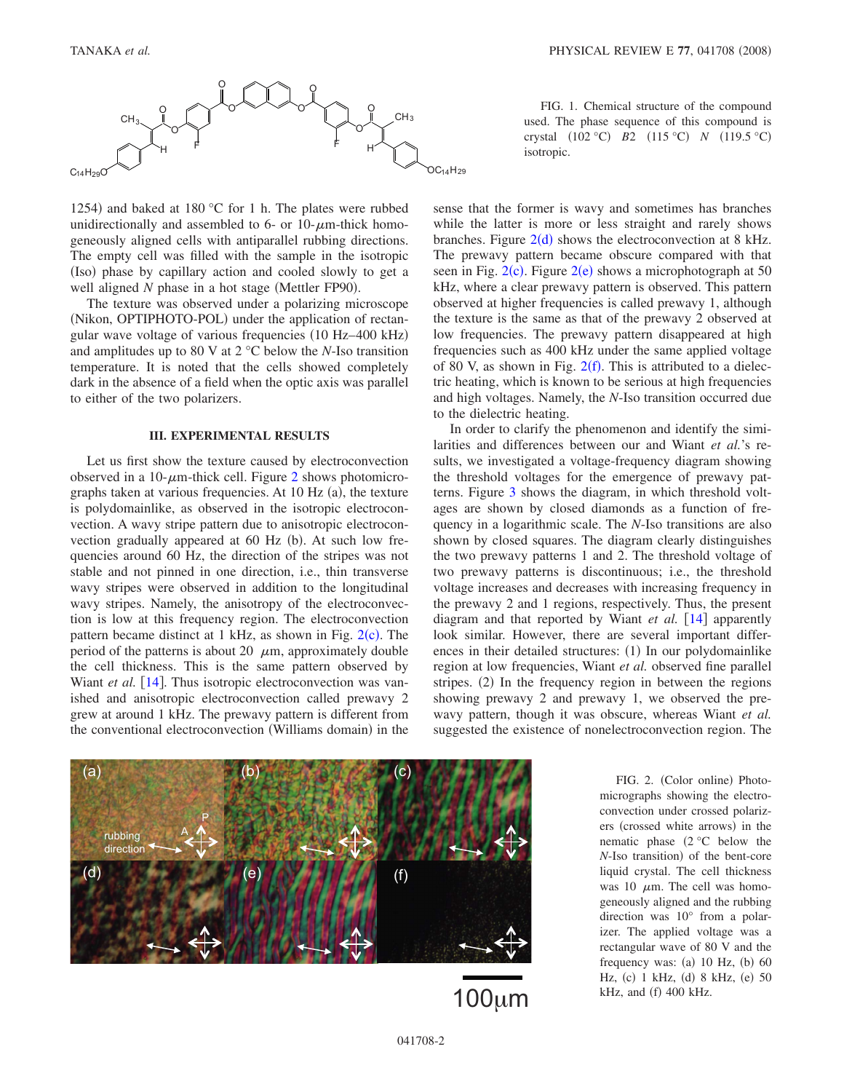<span id="page-1-0"></span>

1254) and baked at 180 °C for 1 h. The plates were rubbed unidirectionally and assembled to 6- or 10- $\mu$ m-thick homogeneously aligned cells with antiparallel rubbing directions. The empty cell was filled with the sample in the isotropic (Iso) phase by capillary action and cooled slowly to get a well aligned N phase in a hot stage (Mettler FP90).

The texture was observed under a polarizing microscope (Nikon, OPTIPHOTO-POL) under the application of rectangular wave voltage of various frequencies (10 Hz-400 kHz) and amplitudes up to 80 V at 2 °C below the *N*-Iso transition temperature. It is noted that the cells showed completely dark in the absence of a field when the optic axis was parallel to either of the two polarizers.

#### **III. EXPERIMENTAL RESULTS**

Let us first show the texture caused by electroconvection observed in a 10- $\mu$ m-thick cell. Figure [2](#page-1-1) shows photomicrographs taken at various frequencies. At 10 Hz (a), the texture is polydomainlike, as observed in the isotropic electroconvection. A wavy stripe pattern due to anisotropic electroconvection gradually appeared at 60 Hz (b). At such low frequencies around 60 Hz, the direction of the stripes was not stable and not pinned in one direction, i.e., thin transverse wavy stripes were observed in addition to the longitudinal wavy stripes. Namely, the anisotropy of the electroconvection is low at this frequency region. The electroconvection pattern became distinct at 1 kHz, as shown in Fig. [2](#page-1-1)(c). The period of the patterns is about 20  $\mu$ m, approximately double the cell thickness. This is the same pattern observed by Wiant *et al.* [[14](#page-4-12)]. Thus isotropic electroconvection was vanished and anisotropic electroconvection called prewavy 2 grew at around 1 kHz. The prewavy pattern is different from the conventional electroconvection (Williams domain) in the

FIG. 1. Chemical structure of the compound used. The phase sequence of this compound is crystal (102 °C) *B*2 (115 °C) *N* (119.5 °C) isotropic.

sense that the former is wavy and sometimes has branches while the latter is more or less straight and rarely shows branches. Figure  $2(d)$  $2(d)$  shows the electroconvection at 8 kHz. The prewavy pattern became obscure compared with that seen in Fig.  $2(c)$  $2(c)$ . Figure  $2(e)$  shows a microphotograph at 50 kHz, where a clear prewavy pattern is observed. This pattern observed at higher frequencies is called prewavy 1, although the texture is the same as that of the prewavy 2 observed at low frequencies. The prewavy pattern disappeared at high frequencies such as 400 kHz under the same applied voltage of 80 V, as shown in Fig.  $2(f)$  $2(f)$ . This is attributed to a dielectric heating, which is known to be serious at high frequencies and high voltages. Namely, the *N*-Iso transition occurred due to the dielectric heating.

In order to clarify the phenomenon and identify the similarities and differences between our and Wiant *et al.*'s results, we investigated a voltage-frequency diagram showing the threshold voltages for the emergence of prewavy patterns. Figure [3](#page-2-0) shows the diagram, in which threshold voltages are shown by closed diamonds as a function of frequency in a logarithmic scale. The *N*-Iso transitions are also shown by closed squares. The diagram clearly distinguishes the two prewavy patterns 1 and 2. The threshold voltage of two prewavy patterns is discontinuous; i.e., the threshold voltage increases and decreases with increasing frequency in the prewavy 2 and 1 regions, respectively. Thus, the present diagram and that reported by Wiant et al. [[14](#page-4-12)] apparently look similar. However, there are several important differences in their detailed structures: (1) In our polydomainlike region at low frequencies, Wiant *et al.* observed fine parallel stripes. (2) In the frequency region in between the regions showing prewavy 2 and prewavy 1, we observed the prewavy pattern, though it was obscure, whereas Wiant *et al.* suggested the existence of nonelectroconvection region. The

<span id="page-1-1"></span>

100m

FIG. 2. (Color online) Photomicrographs showing the electroconvection under crossed polarizers (crossed white arrows) in the nematic phase  $(2 \degree C)$  below the *N*-Iso transition) of the bent-core liquid crystal. The cell thickness was 10  $\mu$ m. The cell was homogeneously aligned and the rubbing direction was 10° from a polarizer. The applied voltage was a rectangular wave of 80 V and the frequency was: (a)  $10$  Hz, (b)  $60$ Hz, (c) 1 kHz, (d) 8 kHz, (e) 50  $kHz$ , and (f) 400 kHz.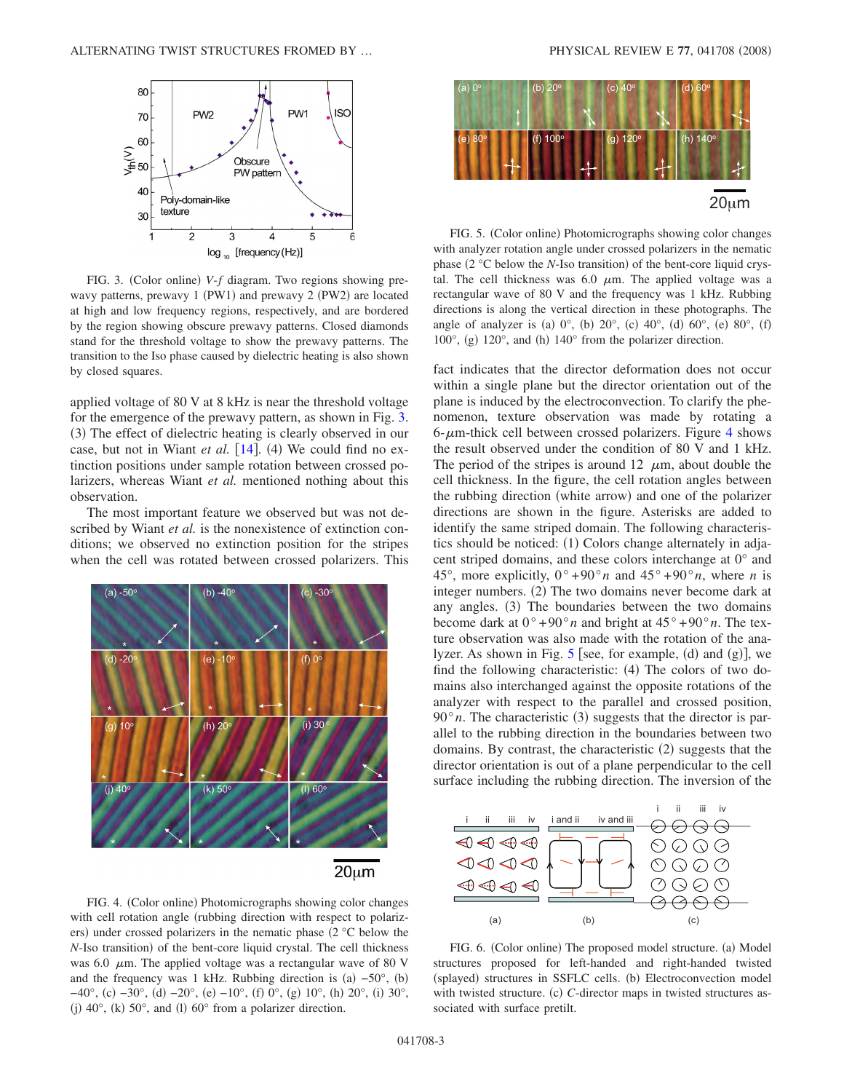<span id="page-2-0"></span>

FIG. 3. (Color online) V-f diagram. Two regions showing prewavy patterns, prewavy 1 (PW1) and prewavy 2 (PW2) are located at high and low frequency regions, respectively, and are bordered by the region showing obscure prewavy patterns. Closed diamonds stand for the threshold voltage to show the prewavy patterns. The transition to the Iso phase caused by dielectric heating is also shown by closed squares.

applied voltage of 80 V at 8 kHz is near the threshold voltage for the emergence of the prewavy pattern, as shown in Fig. [3.](#page-2-0) (3) The effect of dielectric heating is clearly observed in our case, but not in Wiant *et al.* [[14](#page-4-12)]. (4) We could find no extinction positions under sample rotation between crossed polarizers, whereas Wiant *et al.* mentioned nothing about this observation.

The most important feature we observed but was not described by Wiant *et al.* is the nonexistence of extinction conditions; we observed no extinction position for the stripes when the cell was rotated between crossed polarizers. This

<span id="page-2-1"></span>

FIG. 4. (Color online) Photomicrographs showing color changes with cell rotation angle (rubbing direction with respect to polarizers) under crossed polarizers in the nematic phase (2 °C below the N-Iso transition) of the bent-core liquid crystal. The cell thickness was 6.0  $\mu$ m. The applied voltage was a rectangular wave of 80 V and the frequency was 1 kHz. Rubbing direction is  $(a) -50^{\circ}$ ,  $(b)$  $-40^{\circ}$ , (c)  $-30^{\circ}$ , (d)  $-20^{\circ}$ , (e)  $-10^{\circ}$ , (f) 0°, (g) 10°, (h) 20°, (i) 30°, (j)  $40^\circ$ , (k)  $50^\circ$ , and (l)  $60^\circ$  from a polarizer direction.

<span id="page-2-2"></span>

FIG. 5. (Color online) Photomicrographs showing color changes with analyzer rotation angle under crossed polarizers in the nematic phase (2 °C below the *N*-Iso transition) of the bent-core liquid crystal. The cell thickness was 6.0  $\mu$ m. The applied voltage was a rectangular wave of 80 V and the frequency was 1 kHz. Rubbing directions is along the vertical direction in these photographs. The angle of analyzer is (a)  $0^{\circ}$ , (b)  $20^{\circ}$ , (c)  $40^{\circ}$ , (d)  $60^{\circ}$ , (e)  $80^{\circ}$ , (f)  $100^\circ$ , (g)  $120^\circ$ , and (h)  $140^\circ$  from the polarizer direction.

fact indicates that the director deformation does not occur within a single plane but the director orientation out of the plane is induced by the electroconvection. To clarify the phenomenon, texture observation was made by rotating a  $6$ - $\mu$ m-thick cell between crossed polarizers. Figure [4](#page-2-1) shows the result observed under the condition of 80 V and 1 kHz. The period of the stripes is around 12  $\mu$ m, about double the cell thickness. In the figure, the cell rotation angles between the rubbing direction (white arrow) and one of the polarizer directions are shown in the figure. Asterisks are added to identify the same striped domain. The following characteristics should be noticed: (1) Colors change alternately in adjacent striped domains, and these colors interchange at 0° and 45°, more explicitly,  $0^{\circ} + 90^{\circ}n$  and  $45^{\circ} + 90^{\circ}n$ , where *n* is integer numbers. (2) The two domains never become dark at any angles. (3) The boundaries between the two domains become dark at  $0^{\circ}$  +90°*n* and bright at  $45^{\circ}$  +90°*n*. The texture observation was also made with the rotation of the analyzer. As shown in Fig.  $5$  [see, for example, (d) and (g)], we find the following characteristic: (4) The colors of two domains also interchanged against the opposite rotations of the analyzer with respect to the parallel and crossed position,  $90^\circ n$ . The characteristic (3) suggests that the director is parallel to the rubbing direction in the boundaries between two domains. By contrast, the characteristic (2) suggests that the director orientation is out of a plane perpendicular to the cell surface including the rubbing direction. The inversion of the

<span id="page-2-3"></span>

FIG. 6. (Color online) The proposed model structure. (a) Model structures proposed for left-handed and right-handed twisted (splayed) structures in SSFLC cells. (b) Electroconvection model with twisted structure. (c) C-director maps in twisted structures associated with surface pretilt.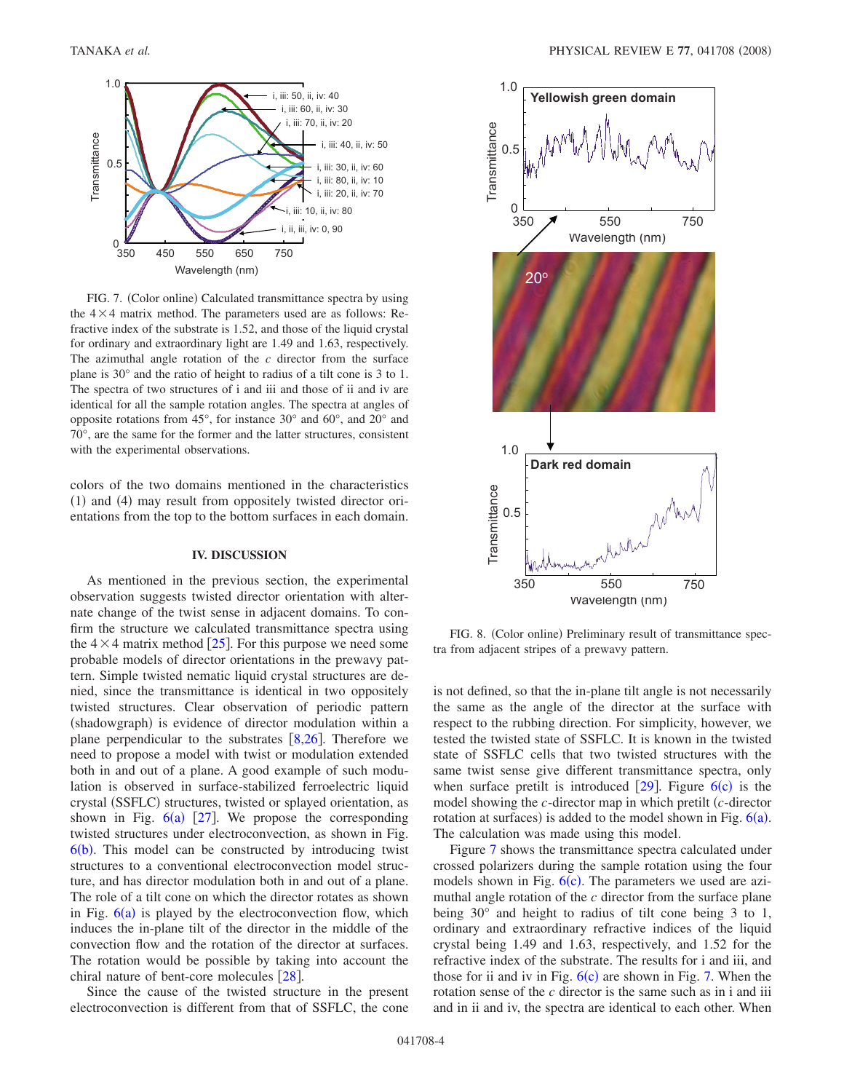<span id="page-3-0"></span>

FIG. 7. (Color online) Calculated transmittance spectra by using the  $4 \times 4$  matrix method. The parameters used are as follows: Refractive index of the substrate is 1.52, and those of the liquid crystal for ordinary and extraordinary light are 1.49 and 1.63, respectively. The azimuthal angle rotation of the *c* director from the surface plane is 30° and the ratio of height to radius of a tilt cone is 3 to 1. The spectra of two structures of i and iii and those of ii and iv are identical for all the sample rotation angles. The spectra at angles of opposite rotations from 45°, for instance 30° and 60°, and 20° and 70°, are the same for the former and the latter structures, consistent with the experimental observations.

colors of the two domains mentioned in the characteristics (1) and (4) may result from oppositely twisted director orientations from the top to the bottom surfaces in each domain.

#### **IV. DISCUSSION**

As mentioned in the previous section, the experimental observation suggests twisted director orientation with alternate change of the twist sense in adjacent domains. To confirm the structure we calculated transmittance spectra using the  $4 \times 4$  matrix method [[25](#page-4-23)]. For this purpose we need some probable models of director orientations in the prewavy pattern. Simple twisted nematic liquid crystal structures are denied, since the transmittance is identical in two oppositely twisted structures. Clear observation of periodic pattern (shadowgraph) is evidence of director modulation within a plane perpendicular to the substrates  $\lceil 8, 26 \rceil$  $\lceil 8, 26 \rceil$  $\lceil 8, 26 \rceil$  $\lceil 8, 26 \rceil$  $\lceil 8, 26 \rceil$ . Therefore we need to propose a model with twist or modulation extended both in and out of a plane. A good example of such modulation is observed in surface-stabilized ferroelectric liquid crystal (SSFLC) structures, twisted or splayed orientation, as shown in Fig.  $6(a)$  $6(a)$  [[27](#page-4-25)]. We propose the corresponding twisted structures under electroconvection, as shown in Fig.  $6(b)$  $6(b)$ . This model can be constructed by introducing twist structures to a conventional electroconvection model structure, and has director modulation both in and out of a plane. The role of a tilt cone on which the director rotates as shown in Fig.  $6(a)$  $6(a)$  is played by the electroconvection flow, which induces the in-plane tilt of the director in the middle of the convection flow and the rotation of the director at surfaces. The rotation would be possible by taking into account the chiral nature of bent-core molecules  $\lceil 28 \rceil$  $\lceil 28 \rceil$  $\lceil 28 \rceil$ .

Since the cause of the twisted structure in the present electroconvection is different from that of SSFLC, the cone

<span id="page-3-1"></span>

FIG. 8. (Color online) Preliminary result of transmittance spectra from adjacent stripes of a prewavy pattern.

is not defined, so that the in-plane tilt angle is not necessarily the same as the angle of the director at the surface with respect to the rubbing direction. For simplicity, however, we tested the twisted state of SSFLC. It is known in the twisted state of SSFLC cells that two twisted structures with the same twist sense give different transmittance spectra, only when surface pretilt is introduced  $[29]$  $[29]$  $[29]$ . Figure  $6(c)$  $6(c)$  is the model showing the *c*-director map in which pretilt *c*-director rotation at surfaces) is added to the model shown in Fig.  $6(a)$  $6(a)$ . The calculation was made using this model.

Figure [7](#page-3-0) shows the transmittance spectra calculated under crossed polarizers during the sample rotation using the four models shown in Fig.  $6(c)$  $6(c)$ . The parameters we used are azimuthal angle rotation of the *c* director from the surface plane being 30° and height to radius of tilt cone being 3 to 1, ordinary and extraordinary refractive indices of the liquid crystal being 1.49 and 1.63, respectively, and 1.52 for the refractive index of the substrate. The results for i and iii, and those for ii and iv in Fig.  $6(c)$  $6(c)$  are shown in Fig. [7.](#page-3-0) When the rotation sense of the *c* director is the same such as in i and iii and in ii and iv, the spectra are identical to each other. When